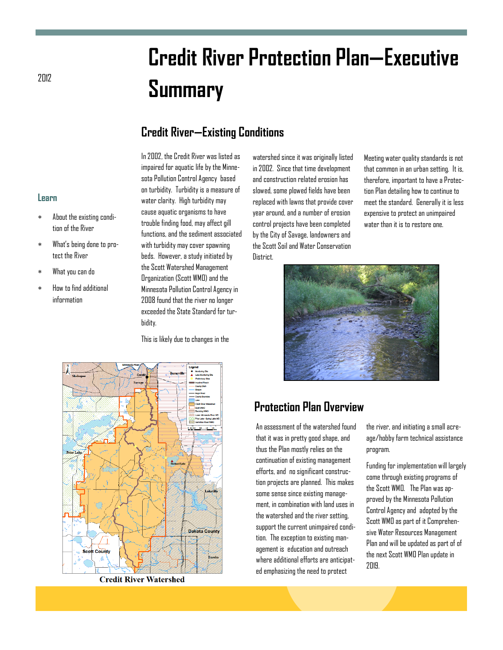# **Credit River Protection Plan—Executive**  <sup>2012</sup> **Summary**

## **Credit River—Existing Conditions**

In 2002, the Credit River was listed as impaired for aquatic life by the Minnesota Pollution Control Agency based on turbidity. Turbidity is a measure of water clarity. High turbidity may cause aquatic organisms to have trouble finding food, may affect gill functions, and the sediment associated with turbidity may cover spawning beds. However, a study initiated by the Scott Watershed Management Organization (Scott WMO) and the Minnesota Pollution Control Agency in 2008 found that the river no longer exceeded the State Standard for turbidity.

This is likely due to changes in the

watershed since it was originally listed in 2002. Since that time development and construction related erosion has slowed, some plowed fields have been replaced with lawns that provide cover year around, and a number of erosion control projects have been completed by the City of Savage, landowners and the Scott Soil and Water Conservation **District** 

Meeting water quality standards is not that common in an urban setting. It is, therefore, important to have a Protection Plan detailing how to continue to meet the standard. Generally it is less expensive to protect an unimpaired water than it is to restore one.



## **Protection Plan Overview**

An assessment of the watershed found that it was in pretty good shape, and thus the Plan mostly relies on the continuation of existing management efforts, and no significant construction projects are planned. This makes some sense since existing management, in combination with land uses in the watershed and the river setting, support the current unimpaired condition. The exception to existing management is education and outreach where additional efforts are anticipated emphasizing the need to protect

the river, and initiating a small acreage/hobby farm technical assistance program.

Funding for implementation will largely come through existing programs of the Scott WMO. The Plan was approved by the Minnesota Pollution Control Agency and adopted by the Scott WMO as part of it Comprehensive Water Resources Management Plan and will be updated as part of of the next Scott WMO Plan update in 2019.

#### **Learn**

- About the existing condition of the River
- What's being done to protect the River
- What you can do
- How to find additional information